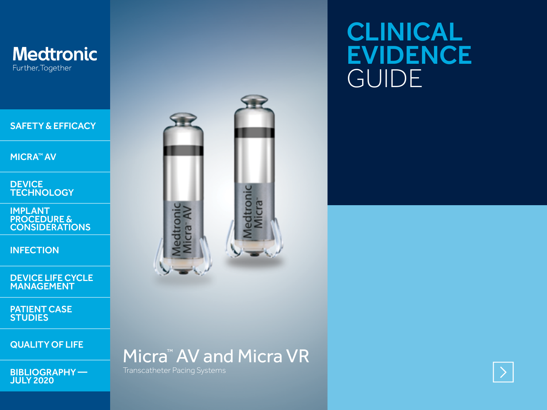

## CLINICAL EVIDENCE GUIDE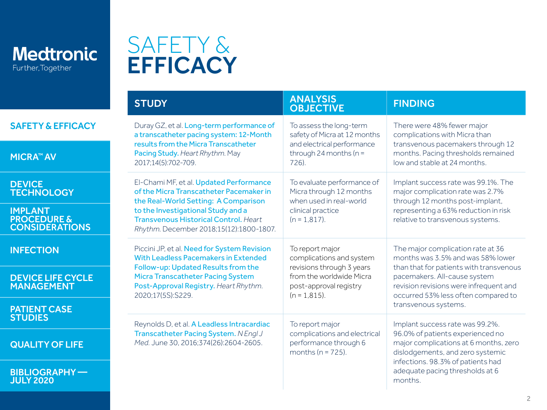<span id="page-1-0"></span>

## SAFETY & **EFFICACY**

|                                                                   | <b>STUDY</b>                                                                                                                  | <b>ANALYSIS</b><br><b>OBJECTIVE</b>                                              | <b>FINDING</b>                                                                                                    |
|-------------------------------------------------------------------|-------------------------------------------------------------------------------------------------------------------------------|----------------------------------------------------------------------------------|-------------------------------------------------------------------------------------------------------------------|
| <b>SAFETY &amp; EFFICACY</b>                                      | Duray GZ, et al. Long-term performance of<br>a transcatheter pacing system: 12-Month                                          | To assess the long-term<br>safety of Micra at 12 months                          | There were 48% fewer major<br>complications with Micra than<br>transvenous pacemakers through 12                  |
| <b>MICRA™ AV</b>                                                  | results from the Micra Transcatheter<br>Pacing Study. Heart Rhythm. May<br>2017;14(5):702-709.                                | and electrical performance<br>through 24 months ( $n =$<br>726).                 | months. Pacing thresholds remained<br>low and stable at 24 months.                                                |
| <b>DEVICE</b><br><b>TECHNOLOGY</b>                                | El-Chami MF, et al. Updated Performance<br>of the Micra Transcatheter Pacemaker in<br>the Real-World Setting: A Comparison    | To evaluate performance of<br>Micra through 12 months<br>when used in real-world | Implant success rate was 99.1%. The<br>major complication rate was 2.7%<br>through 12 months post-implant,        |
| <b>IMPLANT</b><br><b>PROCEDURE &amp;</b><br><b>CONSIDERATIONS</b> | to the Investigational Study and a<br><b>Transvenous Historical Control. Heart</b><br>Rhythm. December 2018;15(12):1800-1807. | clinical practice<br>$(n = 1.817)$ .                                             | representing a 63% reduction in risk<br>relative to transvenous systems.                                          |
| <b>INFECTION</b>                                                  | Piccini JP, et al. Need for System Revision<br>With Leadless Pacemakers in Extended<br>Follow-up: Updated Results from the    | To report major<br>complications and system<br>revisions through 3 years         | The major complication rate at 36<br>months was 3.5% and was 58% lower<br>than that for patients with transvenous |
| <b>DEVICE LIFE CYCLE</b><br><b>MANAGEMENT</b>                     | Micra Transcatheter Pacing System<br>Post-Approval Registry. Heart Rhythm.<br>2020;17(5S):S229.                               | from the worldwide Micra<br>post-approval registry<br>$(n = 1, 815)$ .           | pacemakers. All-cause system<br>revision revisions were infrequent and<br>occurred 53% less often compared to     |
| <b>PATIENT CASE</b><br><b>STUDIES</b>                             |                                                                                                                               | To report major                                                                  | transvenous systems.<br>Implant success rate was 99.2%.                                                           |
| <b>QUALITY OF LIFE</b>                                            | Reynolds D, et al. A Leadless Intracardiac<br>Transcatheter Pacing System. N Engl J<br>Med. June 30, 2016;374(26):2604-2605.  | complications and electrical<br>performance through 6<br>months ( $n = 725$ ).   | 96.0% of patients experienced no<br>major complications at 6 months, zero<br>dislodgements, and zero systemic     |
| <b>BIBLIOGRAPHY-</b><br><b>JULY 2020</b>                          |                                                                                                                               |                                                                                  | infections. 98.3% of patients had<br>adequate pacing thresholds at 6<br>months.                                   |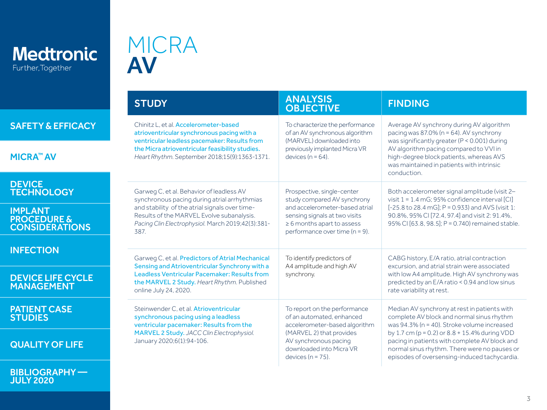<span id="page-2-0"></span>

JULY 2020

[BIBLIOGRAPHY —](#page-11-0) 

## MICRA AV

|                                                                   | <b>STUDY</b>                                                                                                                                                                                                                                         | <b>ANALYSIS</b><br><b>OBJECTIVE</b>                                                                                                                                                                  | <b>FINDING</b>                                                                                                                                                                                                                                                                                                                                   |
|-------------------------------------------------------------------|------------------------------------------------------------------------------------------------------------------------------------------------------------------------------------------------------------------------------------------------------|------------------------------------------------------------------------------------------------------------------------------------------------------------------------------------------------------|--------------------------------------------------------------------------------------------------------------------------------------------------------------------------------------------------------------------------------------------------------------------------------------------------------------------------------------------------|
| <b>SAFETY &amp; EFFICACY</b>                                      | Chinitz L. et al. Accelerometer-based<br>atrioventricular synchronous pacing with a                                                                                                                                                                  | To characterize the performance<br>of an AV synchronous algorithm<br>(MARVEL) downloaded into<br>previously implanted Micra VR<br>devices ( $n = 64$ ).                                              | Average AV synchrony during AV algorithm<br>pacing was $87.0\%$ (n = 64). AV synchrony<br>was significantly greater (P < 0.001) during<br>AV algorithm pacing compared to VVI in<br>high-degree block patients, whereas AVS<br>was maintained in patients with intrinsic<br>conduction.                                                          |
| <b>MICRA™ AV</b>                                                  | ventricular leadless pacemaker: Results from<br>the Micra atrioventricular feasibility studies.<br>Heart Rhythm. September 2018;15(9):1363-1371.                                                                                                     |                                                                                                                                                                                                      |                                                                                                                                                                                                                                                                                                                                                  |
| <b>DEVICE</b><br><b>TECHNOLOGY</b>                                | Garweg C, et al. Behavior of leadless AV<br>synchronous pacing during atrial arrhythmias<br>and stability of the atrial signals over time-<br>Results of the MARVEL Evolve subanalysis.<br>Pacing Clin Electrophysiol. March 2019;42(3):381-<br>387. | Prospective, single-center<br>study compared AV synchrony                                                                                                                                            | Both accelerometer signal amplitude (visit 2-<br>visit $1 = 1.4$ mG; 95% confidence interval [CI]<br>[-25.8 to 28.4 mG]; P = 0.933) and AVS (visit 1:<br>90.8%, 95% CI [72.4, 97.4] and visit 2: 91.4%.<br>95% CI [63.8, 98.5]; P = 0.740) remained stable.                                                                                      |
| <b>IMPLANT</b><br><b>PROCEDURE &amp;</b><br><b>CONSIDERATIONS</b> |                                                                                                                                                                                                                                                      | and accelerometer-based atrial<br>sensing signals at two visits<br>$\geq 6$ months apart to assess<br>performance over time ( $n = 9$ ).                                                             |                                                                                                                                                                                                                                                                                                                                                  |
| <b>INFECTION</b>                                                  | Garweg C, et al. Predictors of Atrial Mechanical<br>Sensing and Atrioventricular Synchrony with a<br>Leadless Ventricular Pacemaker: Results from<br>the MARVEL 2 Study. Heart Rhythm. Published<br>online July 24, 2020.                            | To identify predictors of<br>A4 amplitude and high AV<br>synchrony.                                                                                                                                  | CABG history, E/A ratio, atrial contraction<br>excursion, and atrial strain were associated<br>with low A4 amplitude. High AV synchrony was<br>predicted by an E/A ratio < 0.94 and low sinus<br>rate variability at rest.                                                                                                                       |
| <b>DEVICE LIFE CYCLE</b><br><b>MANAGEMENT</b>                     |                                                                                                                                                                                                                                                      |                                                                                                                                                                                                      |                                                                                                                                                                                                                                                                                                                                                  |
| <b>PATIENT CASE</b><br><b>STUDIES</b>                             | Steinwender C. et al. Atrioventricular<br>synchronous pacing using a leadless<br>ventricular pacemaker: Results from the<br>MARVEL 2 Study. JACC Clin Electrophysiol.<br>January 2020;6(1):94-106.                                                   | To report on the performance<br>of an automated, enhanced<br>accelerometer-based algorithm<br>(MARVEL 2) that provides<br>AV synchronous pacing<br>downloaded into Micra VR<br>devices ( $n = 75$ ). | Median AV synchrony at rest in patients with<br>complete AV block and normal sinus rhythm<br>was 94.3% (n = 40). Stroke volume increased<br>by 1.7 cm ( $p = 0.2$ ) or $8.8 + 15.4%$ during VDD<br>pacing in patients with complete AV block and<br>normal sinus rhythm. There were no pauses or<br>episodes of oversensing-induced tachycardia. |
| <b>QUALITY OF LIFE</b>                                            |                                                                                                                                                                                                                                                      |                                                                                                                                                                                                      |                                                                                                                                                                                                                                                                                                                                                  |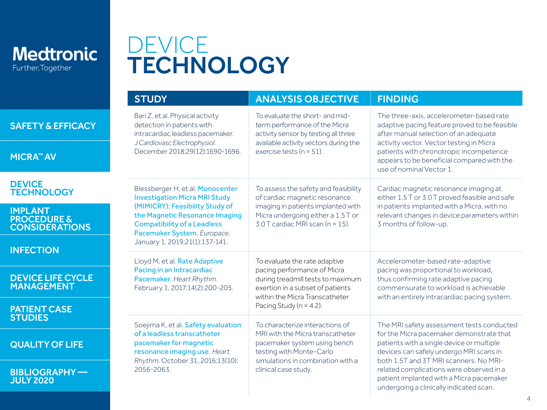<span id="page-3-0"></span>

## DEVICE **TECHNOLOGY**

|                                                                   | <b>STUDY</b>                                                                                                                                                                                                                                                                                          | <b>ANALYSIS OBJECTIVE</b>                                                                                                                                                                                                                                                               | <b>FINDING</b>                                                                                                                                                                                                                                                                                                                                             |
|-------------------------------------------------------------------|-------------------------------------------------------------------------------------------------------------------------------------------------------------------------------------------------------------------------------------------------------------------------------------------------------|-----------------------------------------------------------------------------------------------------------------------------------------------------------------------------------------------------------------------------------------------------------------------------------------|------------------------------------------------------------------------------------------------------------------------------------------------------------------------------------------------------------------------------------------------------------------------------------------------------------------------------------------------------------|
| <b>SAFETY &amp; EFFICACY</b>                                      | Bari Z, et al. Physical activity<br>detection in patients with<br>intracardiac leadless pacemaker.<br>J Cardiovasc Electrophysiol.                                                                                                                                                                    | To evaluate the short- and mid-<br>term performance of the Micra<br>activity sensor by testing all three<br>available activity vectors during the<br>exercise tests ( $n = 51$ ).                                                                                                       | The three-axis, accelerometer-based rate<br>adaptive pacing feature proved to be feasible<br>after manual selection of an adequate<br>activity vector. Vector testing in Micra<br>patients with chronotropic incompetence<br>appears to be beneficial compared with the<br>use of nominal Vector 1.                                                        |
| <b>MICRA™ AV</b>                                                  | December 2018;29(12):1690-1696.                                                                                                                                                                                                                                                                       |                                                                                                                                                                                                                                                                                         |                                                                                                                                                                                                                                                                                                                                                            |
| <b>DEVICE</b><br><b>TECHNOLOGY</b>                                | Blessberger H, et al. Monocenter<br><b>Investigation Micra MRI Study</b>                                                                                                                                                                                                                              | To assess the safety and feasibility<br>of cardiac magnetic resonance                                                                                                                                                                                                                   | Cardiac magnetic resonance imaging at<br>either 1.5 T or 3.0 T proved feasible and safe                                                                                                                                                                                                                                                                    |
| <b>IMPLANT</b><br><b>PROCEDURE &amp;</b><br><b>CONSIDERATIONS</b> | (MIMICRY): Feasibility Study of<br>the Magnetic Resonance Imaging<br><b>Compatibility of a Leadless</b><br>Pacemaker System. Europace.<br>January 1, 2019;21(1):137-141.<br>Lloyd M, et al. Rate Adaptive<br>Pacing in an Intracardiac<br>Pacemaker. Heart Rhythm.<br>February 1, 2017;14(2):200-205. | imaging in patients implanted with<br>Micra undergoing either a 1.5 T or<br>3.0 T cardiac MRI scan (n = 15).<br>To evaluate the rate adaptive<br>pacing performance of Micra<br>during treadmill tests to maximum<br>exertion in a subset of patients<br>within the Micra Transcatheter | in patients implanted with a Micra, with no<br>relevant changes in device parameters within<br>3 months of follow-up.<br>Accelerometer-based rate-adaptive<br>pacing was proportional to workload,<br>thus confirming rate adaptive pacing<br>commensurate to workload is achievable<br>with an entirely intracardiac pacing system.                       |
| <b>INFECTION</b>                                                  |                                                                                                                                                                                                                                                                                                       |                                                                                                                                                                                                                                                                                         |                                                                                                                                                                                                                                                                                                                                                            |
| <b>DEVICE LIFE CYCLE</b><br><b>MANAGEMENT</b>                     |                                                                                                                                                                                                                                                                                                       |                                                                                                                                                                                                                                                                                         |                                                                                                                                                                                                                                                                                                                                                            |
| <b>PATIENT CASE</b><br><b>STUDIES</b>                             | Soejima K, et al. Safety evaluation<br>of a leadless transcatheter<br>pacemaker for magnetic<br>resonance imaging use. Heart<br>Rhythm. October 31, 2016;13(10):<br>2056-2063.                                                                                                                        | Pacing Study ( $n = 42$ ).<br>To characterize interactions of<br>MRI with the Micra transcatheter<br>pacemaker system using bench<br>testing with Monte-Carlo<br>simulations in combination with a<br>clinical case study.                                                              | The MRI safety assessment tests conducted<br>for the Micra pacemaker demonstrate that<br>patients with a single device or multiple<br>devices can safely undergo MRI scans in<br>both 1.5T and 3T MRI scanners. No MRI-<br>related complications were observed in a<br>patient implanted with a Micra pacemaker<br>undergoing a clinically indicated scan. |
| <b>QUALITY OF LIFE</b>                                            |                                                                                                                                                                                                                                                                                                       |                                                                                                                                                                                                                                                                                         |                                                                                                                                                                                                                                                                                                                                                            |
| <b>BIBLIOGRAPHY-</b><br><b>JULY 2020</b>                          |                                                                                                                                                                                                                                                                                                       |                                                                                                                                                                                                                                                                                         |                                                                                                                                                                                                                                                                                                                                                            |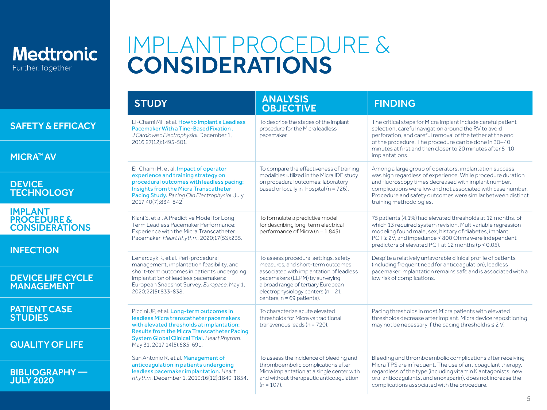<span id="page-4-0"></span>

## IMPLANT PROCEDURE & CONSIDERATIONS

|                                                                   | <b>STUDY</b>                                                                                                                                                                                                                                | <b>ANALYSIS</b><br><b>OBJECTIVE</b>                                                                                                                                                                                                                                 | <b>FINDING</b>                                                                                                                                                                                                                                                                                                                         |
|-------------------------------------------------------------------|---------------------------------------------------------------------------------------------------------------------------------------------------------------------------------------------------------------------------------------------|---------------------------------------------------------------------------------------------------------------------------------------------------------------------------------------------------------------------------------------------------------------------|----------------------------------------------------------------------------------------------------------------------------------------------------------------------------------------------------------------------------------------------------------------------------------------------------------------------------------------|
| <b>SAFETY &amp; EFFICACY</b>                                      | El-Chami MF, et al. How to Implant a Leadless<br>Pacemaker With a Tine-Based Fixation.<br>J Cardiovasc Electrophysiol. December 1,<br>2016:27(12):1495-501.                                                                                 | To describe the stages of the implant<br>procedure for the Micra leadless<br>pacemaker.                                                                                                                                                                             | The critical steps for Micra implant include careful patient<br>selection, careful navigation around the RV to avoid<br>perforation, and careful removal of the tether at the end<br>of the procedure. The procedure can be done in 30-40<br>minutes at first and then closer to 20 minutes after 5-10                                 |
| <b>MICRA™ AV</b>                                                  |                                                                                                                                                                                                                                             |                                                                                                                                                                                                                                                                     | implantations.                                                                                                                                                                                                                                                                                                                         |
| <b>DEVICE</b><br><b>TECHNOLOGY</b>                                | El-Chami M, et al. Impact of operator<br>experience and training strategy on<br>procedural outcomes with leadless pacing:<br>Insights from the Micra Transcatheter<br>Pacing Study. Pacing Clin Electrophysiol. July<br>2017:40(7):834-842. | To compare the effectiveness of training<br>modalities utilized in the Micra IDE study<br>on procedural outcomes: laboratory-<br>based or locally in-hospital (n = 726).                                                                                            | Among a large group of operators, implantation success<br>was high regardless of experience. While procedure duration<br>and fluoroscopy times decreased with implant number,<br>complications were low and not associated with case number.<br>Procedure and safety outcomes were similar between distinct<br>training methodologies. |
| <b>IMPLANT</b><br><b>PROCEDURE &amp;</b><br><b>CONSIDERATIONS</b> | Kiani S, et al. A Predictive Model for Long<br>Term Leadless Pacemaker Performance:<br>Experience with the Micra Transcatheter<br>Pacemaker. Heart Rhythm. 2020;17(5S):235.                                                                 | To formulate a predictive model<br>for describing long-term electrical<br>performance of Micra (n = 1.843).                                                                                                                                                         | 75 patients (4.1%) had elevated thresholds at 12 months, of<br>which 13 required system revision. Multivariable regression<br>modeling found male, sex, history of diabetes, implant<br>$PCT \ge 2V$ , and impedance < 800 Ohms were independent<br>predictors of elevated PCT at 12 months (p < 0.05).                                |
| <b>INFECTION</b>                                                  | Lenarczyk R, et al. Peri-procedural                                                                                                                                                                                                         | To assess procedural settings, safety<br>measures, and short-term outcomes<br>associated with implantation of leadless<br>pacemakers (LLPM) by surveying<br>a broad range of tertiary European<br>electrophysiology centers (n = 21<br>centers, $n = 69$ patients). | Despite a relatively unfavorable clinical profile of patients<br>(including frequent need for anticoagulation), leadless<br>pacemaker implantation remains safe and is associated with a<br>low risk of complications.                                                                                                                 |
| <b>DEVICE LIFE CYCLE</b><br><b>MANAGEMENT</b>                     | management, implantation feasibility, and<br>short-term outcomes in patients undergoing<br>implantation of leadless pacemakers:<br>European Snapshot Survey. Europace. May 1,<br>2020;22(5):833-838.                                        |                                                                                                                                                                                                                                                                     |                                                                                                                                                                                                                                                                                                                                        |
| <b>PATIENT CASE</b><br><b>STUDIES</b>                             | Piccini JP, et al. Long-term outcomes in<br>leadless Micra transcatheter pacemakers<br>with elevated thresholds at implantation:<br><b>Results from the Micra Transcatheter Pacing</b>                                                      | To characterize acute elevated<br>thresholds for Micra vs traditional<br>transvenous leads $(n = 720)$ .                                                                                                                                                            | Pacing thresholds in most Micra patients with elevated<br>thresholds decrease after implant. Micra device repositioning<br>may not be necessary if the pacing threshold is $\leq 2$ V.                                                                                                                                                 |
| <b>QUALITY OF LIFE</b>                                            | System Global Clinical Trial. Heart Rhythm.<br>May 31, 2017;14(5):685-691.                                                                                                                                                                  |                                                                                                                                                                                                                                                                     |                                                                                                                                                                                                                                                                                                                                        |
| <b>BIBLIOGRAPHY-</b><br><b>JULY 2020</b>                          | San Antonio R, et al. Management of<br>anticoaqulation in patients undergoing<br>leadless pacemaker implantation. Heart<br>Rhythm. December 1, 2019;16(12):1849-1854.                                                                       | To assess the incidence of bleeding and<br>thromboembolic complications after<br>Micra implantation at a single center with<br>and without therapeutic anticoagulation<br>$(n = 107)$ .                                                                             | Bleeding and thromboembolic complications after receiving<br>Micra TPS are infrequent. The use of anticoagulant therapy,<br>regardless of the type (including vitamin K antagonists, new<br>oral anticoagulants, and enoxaparin), does not increase the<br>complications associated with the procedure.                                |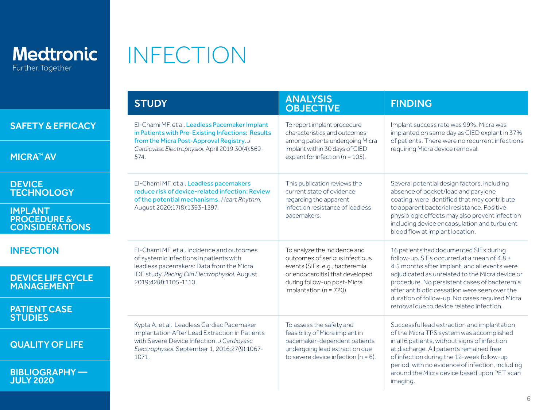<span id="page-5-0"></span>

| <b>Medtronic</b>  |  |
|-------------------|--|
| Further, Together |  |

# INFECTION

|                                                                   | <b>STUDY</b>                                                                                                                                                                                                | <b>ANALYSIS</b><br><b>OBJECTIVE</b>                                                                                                                                                               | <b>FINDING</b>                                                                                                                                                                                                                                                                                                                                                                               |
|-------------------------------------------------------------------|-------------------------------------------------------------------------------------------------------------------------------------------------------------------------------------------------------------|---------------------------------------------------------------------------------------------------------------------------------------------------------------------------------------------------|----------------------------------------------------------------------------------------------------------------------------------------------------------------------------------------------------------------------------------------------------------------------------------------------------------------------------------------------------------------------------------------------|
| <b>SAFETY &amp; EFFICACY</b>                                      | El-Chami MF, et al. Leadless Pacemaker Implant<br>in Patients with Pre-Existing Infections: Results<br>from the Micra Post-Approval Registry. J                                                             | To report implant procedure<br>characteristics and outcomes<br>among patients undergoing Micra                                                                                                    | Implant success rate was 99%. Micra was<br>implanted on same day as CIED explant in 37%<br>of patients. There were no recurrent infections                                                                                                                                                                                                                                                   |
| <b>MICRA™ AV</b>                                                  | Cardiovasc Electrophysiol. April 2019;30(4):569-<br>574.                                                                                                                                                    | implant within 30 days of CIED<br>explant for infection ( $n = 105$ ).                                                                                                                            | requiring Micra device removal.                                                                                                                                                                                                                                                                                                                                                              |
| <b>DEVICE</b><br><b>TECHNOLOGY</b>                                | El-Chami MF, et al. Leadless pacemakers<br>reduce risk of device-related infection: Review<br>of the potential mechanisms. Heart Rhythm.                                                                    | This publication reviews the<br>current state of evidence<br>regarding the apparent                                                                                                               | Several potential design factors, including<br>absence of pocket/lead and parylene<br>coating, were identified that may contribute                                                                                                                                                                                                                                                           |
| <b>IMPLANT</b><br><b>PROCEDURE &amp;</b><br><b>CONSIDERATIONS</b> | August 2020;17(8):1393-1397.                                                                                                                                                                                | infection resistance of leadless<br>pacemakers.                                                                                                                                                   | to apparent bacterial resistance. Positive<br>physiologic effects may also prevent infection<br>including device encapsulation and turbulent<br>blood flow at implant location.                                                                                                                                                                                                              |
| <b>INFECTION</b>                                                  | El-Chami MF, et al. Incidence and outcomes<br>of systemic infections in patients with<br>leadless pacemakers: Data from the Micra<br>IDE study. Pacing Clin Electrophysiol. August<br>2019;42(8):1105-1110. | To analyze the incidence and<br>outcomes of serious infectious<br>events (SIEs; e.g., bacteremia<br>or endocarditis) that developed<br>during follow-up post-Micra<br>implantation ( $n = 720$ ). | 16 patients had documented SIEs during<br>follow-up. SIEs occurred at a mean of 4.8 ±<br>4.5 months after implant, and all events were<br>adjudicated as unrelated to the Micra device or<br>procedure. No persistent cases of bacteremia<br>after antibiotic cessation were seen over the<br>duration of follow-up. No cases required Micra                                                 |
| <b>DEVICE LIFE CYCLE</b><br><b>MANAGEMENT</b>                     |                                                                                                                                                                                                             |                                                                                                                                                                                                   |                                                                                                                                                                                                                                                                                                                                                                                              |
| <b>PATIENT CASE</b><br><b>STUDIES</b>                             | Kypta A, et al. Leadless Cardiac Pacemaker<br>Implantation After Lead Extraction in Patients<br>with Severe Device Infection, J Cardiovasc<br>Electrophysiol. September 1, 2016;27(9):1067-<br>1071.        | To assess the safety and<br>feasibility of Micra implant in<br>pacemaker-dependent patients<br>undergoing lead extraction due<br>to severe device infection $(n = 6)$ .                           | removal due to device related infection.<br>Successful lead extraction and implantation<br>of the Micra TPS system was accomplished<br>in all 6 patients, without signs of infection<br>at discharge. All patients remained free<br>of infection during the 12-week follow-up<br>period, with no evidence of infection, including<br>around the Micra device based upon PET scan<br>imaging. |
| <b>QUALITY OF LIFE</b>                                            |                                                                                                                                                                                                             |                                                                                                                                                                                                   |                                                                                                                                                                                                                                                                                                                                                                                              |
| <b>BIBLIOGRAPHY-</b><br><b>JULY 2020</b>                          |                                                                                                                                                                                                             |                                                                                                                                                                                                   |                                                                                                                                                                                                                                                                                                                                                                                              |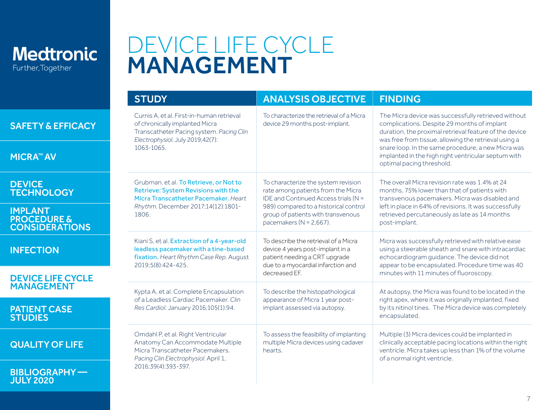<span id="page-6-0"></span>

JULY 2020

## DEVICE LIFE CYCLE MANAGEMENT

|                                                             | <b>STUDY</b>                                                                                                                                                             | <b>ANALYSIS OBJECTIVE</b>                                                                                                                                                                                                       | <b>FINDING</b>                                                                                                                                                                                                                                                                                                                                                 |
|-------------------------------------------------------------|--------------------------------------------------------------------------------------------------------------------------------------------------------------------------|---------------------------------------------------------------------------------------------------------------------------------------------------------------------------------------------------------------------------------|----------------------------------------------------------------------------------------------------------------------------------------------------------------------------------------------------------------------------------------------------------------------------------------------------------------------------------------------------------------|
| <b>SAFETY &amp; EFFICACY</b><br><b>MICRA™ AV</b>            | Curnis A, et al. First-in-human retrieval<br>of chronically implanted Micra<br>Transcatheter Pacing system. Pacing Clin<br>Electrophysiol. July 2019;42(7):<br>1063-1065 | To characterize the retrieval of a Micra<br>device 29 months post-implant.                                                                                                                                                      | The Micra device was successfully retrieved without<br>complications. Despite 29 months of implant<br>duration, the proximal retrieval feature of the device<br>was free from tissue, allowing the retrieval using a<br>snare loop. In the same procedure, a new Micra was<br>implanted in the high right ventricular septum with<br>optimal pacing threshold. |
| <b>DEVICE</b><br><b>TECHNOLOGY</b>                          | Grubman, et al. To Retrieve, or Not to<br>Retrieve: System Revisions with the<br>Micra Transcatheter Pacemaker, Heart                                                    | To characterize the system revision<br>rate among patients from the Micra<br>IDE and Continued Access trials (N =<br>989) compared to a historical control<br>group of patients with transvenous<br>pacemakers ( $N = 2.667$ ). | The overall Micra revision rate was 1.4% at 24<br>months, 75% lower than that of patients with<br>transvenous pacemakers. Micra was disabled and<br>left in place in 64% of revisions. It was successfully<br>retrieved percutaneously as late as 14 months<br>post-implant.                                                                                   |
| <b>IMPLANT</b><br><b>PROCEDURE &amp;<br/>CONSIDERATIONS</b> | Rhythm. December 2017;14(12):1801-<br>1806                                                                                                                               |                                                                                                                                                                                                                                 |                                                                                                                                                                                                                                                                                                                                                                |
| <b>INFECTION</b>                                            | Kiani S, et al. Extraction of a 4-year-old<br>leadless pacemaker with a tine-based<br>fixation. Heart Rhythm Case Rep. August<br>2019:5(8):424-425.                      | To describe the retrieval of a Micral<br>device 4 years post-implant in a<br>patient needing a CRT upgrade<br>due to a myocardial infarction and<br>decreased EF.                                                               | Micra was successfully retrieved with relative ease<br>using a steerable sheath and snare with intracardiac<br>echocardiogram guidance. The device did not<br>appear to be encapsulated. Procedure time was 40<br>minutes with 11 minutes of fluoroscopy.                                                                                                      |
| <b>DEVICE LIFE CYCLE</b>                                    |                                                                                                                                                                          |                                                                                                                                                                                                                                 |                                                                                                                                                                                                                                                                                                                                                                |
| <b>MANAGEMENT</b>                                           | Kypta A, et al. Complete Encapsulation                                                                                                                                   | To describe the histopathological                                                                                                                                                                                               | At autopsy, the Micra was found to be located in the                                                                                                                                                                                                                                                                                                           |
| <b>PATIENT CASE</b><br>STUDIES                              | of a Leadless Cardiac Pacemaker. Clin<br>Res Cardiol. January 2016;105(1):94.                                                                                            | appearance of Micra 1 year post-<br>implant assessed via autopsy.                                                                                                                                                               | right apex, where it was originally implanted, fixed<br>by its nitinol tines. The Micra device was completely<br>encapsulated.                                                                                                                                                                                                                                 |
| <b>QUALITY OF LIFE</b>                                      | Omdahl P, et al. Right Ventricular<br>Anatomy Can Accommodate Multiple<br>Micra Transcatheter Pacemakers.<br>Pacing Clin Electrophysiol. April 1,                        | To assess the feasibility of implanting<br>multiple Micra devices using cadaver<br>hearts.                                                                                                                                      | Multiple (3) Micra devices could be implanted in<br>clinically acceptable pacing locations within the right<br>ventricle. Micra takes up less than 1% of the volume<br>of a normal right ventricle.                                                                                                                                                            |
| <b>BIBLIOGRAPHY-</b>                                        | 2016;39(4):393-397.                                                                                                                                                      |                                                                                                                                                                                                                                 |                                                                                                                                                                                                                                                                                                                                                                |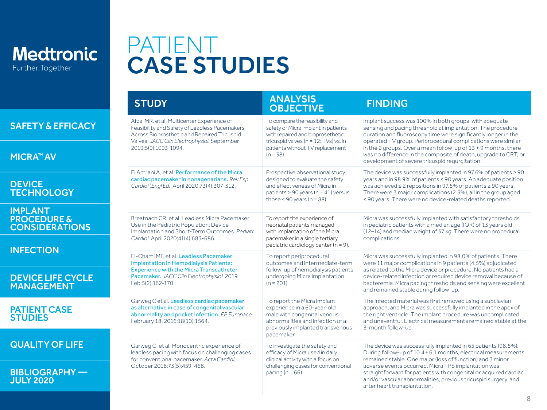<span id="page-7-0"></span>

## PATIENT CASE STUDIES

|                                                                   | <b>STUDY</b>                                                                                                                                                                              | <b>ANALYSIS</b><br><b>OBJECTIVE</b>                                                                                                                                                 | <b>FINDING</b>                                                                                                                                                                                                                                                                                                                          |  |
|-------------------------------------------------------------------|-------------------------------------------------------------------------------------------------------------------------------------------------------------------------------------------|-------------------------------------------------------------------------------------------------------------------------------------------------------------------------------------|-----------------------------------------------------------------------------------------------------------------------------------------------------------------------------------------------------------------------------------------------------------------------------------------------------------------------------------------|--|
| <b>SAFETY &amp; EFFICACY</b>                                      | Afzal MR, et al. Multicenter Experience of<br>Feasibility and Safety of Leadless Pacemakers<br>Across Bioprosthetic and Repaired Tricuspid<br>Valves. JACC Clin Electrophysiol. September | To compare the feasibility and<br>safety of Micra implant in patients<br>with repaired and bioprosethetic<br>tricuspid valves ( $n = 12$ ; TVs) vs. in                              | Implant success was 100% in both groups, with adequate<br>sensing and pacing threshold at implantation. The procedure<br>duration and fluoroscopy time were significantly longer in the<br>operated TV group. Periprocedural complications were similar                                                                                 |  |
| <b>MICRA™ AV</b>                                                  | 2019:5(9):1093-1094.                                                                                                                                                                      | patients without TV replacement<br>$(n = 38)$ .                                                                                                                                     | in the 2 groups. Over a mean follow-up of 13 + 9 months, there<br>was no difference in the composite of death, upgrade to CRT, or<br>development of severe tricuspid requrgitation.                                                                                                                                                     |  |
| <b>DEVICE</b><br><b>TECHNOLOGY</b>                                | El Amrani A, et al. Performance of the Micra<br>cardiac pacemaker in nonagenarians. Rev Esp<br>Cardiol (Engl Ed). April 2020;73(4):307-312.                                               | Prospective observational study<br>designed to evaluate the safety<br>and effectiveness of Micra in<br>patients $\geq 90$ years (n = 41) versus<br>those < $90$ years ( $n = 88$ ). | The device was successfully implanted in 97.6% of patients $\geq 90$<br>years and in 98.9% of patients < 90 years. An adequate position<br>was achieved ≤ 2 repositions in 97.5% of patients ≥ 90 years.<br>There were 3 major complications (2.3%), all in the group aged<br>< 90 years. There were no device-related deaths reported. |  |
| <b>IMPLANT</b><br><b>PROCEDURE &amp;</b><br><b>CONSIDERATIONS</b> | Breatnach CR, et al. Leadless Micra Pacemaker<br>Use in the Pediatric Population: Device<br>Implantation and Short-Term Outcomes. Pediatr<br>Cardiol. April 2020;41(4):683-686.           | To report the experience of<br>neonatal patients managed<br>with implantation of the Micra<br>pacemaker in a single tertiary                                                        | Micra was successfully implanted with satisfactory thresholds<br>in pediatric patients with a median age (IQR) of 13 years old<br>(12-14) and median weight of 37 kg. There were no procedural<br>complications.                                                                                                                        |  |
| <b>INFECTION</b>                                                  | El-Chami MF, et al. Leadless Pacemaker<br>Implantation in Hemodialysis Patients:                                                                                                          | pediatric cardiology center ( $n = 9$ ).<br>To report periprocedural<br>outcomes and intermediate-term                                                                              | Micra was successfully implanted in 98.0% of patients. There<br>were 11 major complications in 9 patients (4.5%) adjudicated                                                                                                                                                                                                            |  |
| <b>DEVICE LIFE CYCLE</b><br><b>MANAGEMENT</b>                     | <b>Experience with the Micra Transcatheter</b><br>Pacemaker. JACC Clin Electrophysiol. 2019<br>Feb:5(2):162-170.                                                                          | follow-up of hemodialysis patients<br>undergoing Micra implantation<br>$(n = 201)$ .                                                                                                | as related to the Micra device or procedure. No patients had a<br>device-related infection or required device removal because of<br>bacteremia. Micra pacing thresholds and sensing were excellent<br>and remained stable during follow-up.                                                                                             |  |
| <b>PATIENT CASE</b><br><b>STUDIES</b>                             | Garweg C et al. Leadless cardiac pacemaker<br>as alternative in case of congenital vascular<br>abnormality and pocket infection. EP Europace.<br>February 18, 2016;18(10):1564.           | To report the Micra implant<br>experience in a 60-year-old<br>male with congenital venous<br>abnormalities and infection of a<br>previously implanted transvenous<br>pacemaker.     | The infected material was first removed using a subclavian<br>approach, and Micra was successfully implanted in the apex of<br>the right ventricle. The implant procedure was uncomplicated<br>and uneventful. Electrical measurements remained stable at the<br>3-month follow-up.                                                     |  |
| <b>QUALITY OF LIFE</b>                                            | Garweg C, et al. Monocentric experience of<br>leadless pacing with focus on challenging cases<br>for conventional pacemaker. Acta Cardiol,                                                | To investigate the safety and<br>efficacy of Micra used in daily<br>clinical activity with a focus on                                                                               | The device was successfully implanted in 65 patients (98.5%).<br>During follow-up of 10.4 ± 6.1 months, electrical measurements                                                                                                                                                                                                         |  |
| <b>BIBLIOGRAPHY-</b><br><b>JULY 2020</b>                          | October 2018:73(5):459-468.                                                                                                                                                               | challenging cases for conventional<br>pacing ( $n = 66$ ).                                                                                                                          | remained stable. One major (loss of function) and 3 minor<br>adverse events occurred. Micra TPS implantation was<br>straightforward for patients with congenital or acquired cardiac<br>and/or vascular abnormalities, previous tricuspid surgery, and<br>after heart transplantation.                                                  |  |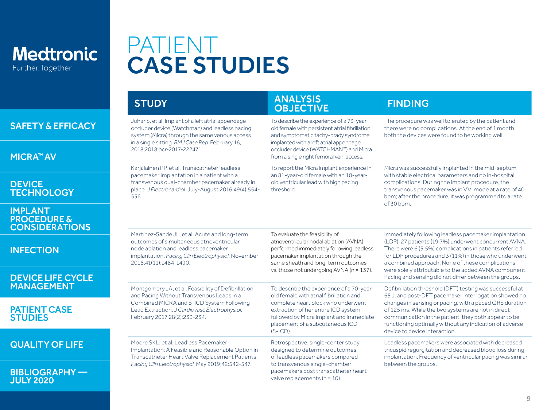

**BIBLIOGRA** JULY 2020

## PATIENT CASE STUDIES

|                                                                   | <b>STUDY</b>                                                                                                                                                                                                                   | <b>ANALYSIS</b><br><b>OBJECTIVE</b>                                                                                                                                                                                                                           | <b>FINDING</b>                                                                                                                                                                                                                                                                                                                                                                        |
|-------------------------------------------------------------------|--------------------------------------------------------------------------------------------------------------------------------------------------------------------------------------------------------------------------------|---------------------------------------------------------------------------------------------------------------------------------------------------------------------------------------------------------------------------------------------------------------|---------------------------------------------------------------------------------------------------------------------------------------------------------------------------------------------------------------------------------------------------------------------------------------------------------------------------------------------------------------------------------------|
| <b>SAFETY &amp; EFFICACY</b>                                      | Johar S, et al. Implant of a left atrial appendage<br>occluder device (Watchman) and leadless pacing<br>system (Micra) through the same venous access<br>in a single sitting. BMJ Case Rep. February 16,                       | To describe the experience of a 73-year-<br>old female with persistent atrial fibrillation<br>and symptomatic tachy-brady syndrome<br>implanted with a left atrial appendage                                                                                  | The procedure was well tolerated by the patient and<br>there were no complications. At the end of 1 month,<br>both the devices were found to be working well.                                                                                                                                                                                                                         |
| <b>MICRA™ AV</b>                                                  | 2018:2018:bcr-2017-222471.                                                                                                                                                                                                     | occluder device (WATCHMAN™) and Micra<br>from a single right femoral vein access.                                                                                                                                                                             |                                                                                                                                                                                                                                                                                                                                                                                       |
|                                                                   | Karjalainen PP, et al. Transcatheter leadless<br>pacemaker implantation in a patient with a                                                                                                                                    | To report the Micra implant experience in<br>an 81-year-old female with an 18-year-                                                                                                                                                                           | Micra was successfully implanted in the mid-septum<br>with stable electrical parameters and no in-hospital                                                                                                                                                                                                                                                                            |
| <b>DEVICE</b><br><b>TECHNOLOGY</b>                                | transvenous dual-chamber pacemaker already in<br>place. J Electrocardiol. July-August 2016;49(4):554-<br>556.                                                                                                                  | old ventricular lead with high pacing<br>threshold                                                                                                                                                                                                            | complications. During the implant procedure, the<br>transvenous pacemaker was in VVI mode at a rate of 40<br>bpm; after the procedure, it was programmed to a rate                                                                                                                                                                                                                    |
| <b>IMPLANT</b><br><b>PROCEDURE &amp;</b><br><b>CONSIDERATIONS</b> |                                                                                                                                                                                                                                |                                                                                                                                                                                                                                                               | of 30 bpm.                                                                                                                                                                                                                                                                                                                                                                            |
| <b>INFECTION</b>                                                  | Martínez-Sande JL, et al. Acute and long-term<br>outcomes of simultaneous atrioventricular<br>node ablation and leadless pacemaker<br>implantation. Pacing Clin Electrophysiol. November<br>2018:41(11):1484-1490.             | To evaluate the feasibility of<br>atrioventricular nodal ablation (AVNA)<br>performed immediately following leadless<br>pacemaker implantation through the<br>same sheath and long-term outcomes<br>vs. those not undergoing AVNA (n = 137).                  | Immediately following leadless pacemaker implantation<br>(LDP), 27 patients (19.7%) underwent concurrent AVNA.<br>There were 6 (5.5%) complications in patients referred<br>for LDP procedures and 3 (11%) in those who underwent<br>a combined approach. None of these complications<br>were solely attributable to the added AVNA component.                                        |
| <b>DEVICE LIFE CYCLE</b><br><b>MANAGEMENT</b>                     |                                                                                                                                                                                                                                |                                                                                                                                                                                                                                                               | Pacing and sensing did not differ between the groups.                                                                                                                                                                                                                                                                                                                                 |
| <b>PATIENT CASE</b><br><b>STUDIES</b>                             | Montgomery JA, et al. Feasibility of Defibrillation<br>and Pacing Without Transvenous Leads in a<br>Combined MICRA and S-ICD System Following<br>Lead Extraction. J Cardiovasc Electrophysiol.<br>February 2017;28(2):233-234. | To describe the experience of a 70-year-<br>old female with atrial fibrillation and<br>complete heart block who underwent<br>extraction of her entire ICD system<br>followed by Micra implant and immediate<br>placement of a subcutaneous ICD<br>$(S-ICD)$ . | Defibrillation threshold (DFT) testing was successful at<br>65 J, and post-DFT pacemaker interrogation showed no<br>changes in sensing or pacing, with a paced QRS duration<br>of 125 ms. While the two systems are not in direct<br>communication in the patient, they both appear to be<br>functioning optimally without any indication of adverse<br>device to device interaction. |
| <b>QUALITY OF LIFE</b>                                            | Moore SKL, et al. Leadless Pacemaker<br>Implantation: A Feasible and Reasonable Option in<br>Transcatheter Heart Valve Replacement Patients.<br>Pacing Clin Electrophysiol. May 2019;42:542-547.                               | Retrospective, single-center study<br>designed to determine outcomes<br>of leadless pacemakers compared<br>to transvenous single-chamber<br>pacemakers post transcatheter heart<br>valve replacements ( $n = 10$ ).                                           | Leadless pacemakers were associated with decreased<br>tricuspid requrgitation and decreased blood loss during<br>implantation. Frequency of ventricular pacing was similar<br>between the groups.                                                                                                                                                                                     |
| <b>BIBLIOGRAPHY-</b><br>JULY 2020                                 |                                                                                                                                                                                                                                |                                                                                                                                                                                                                                                               |                                                                                                                                                                                                                                                                                                                                                                                       |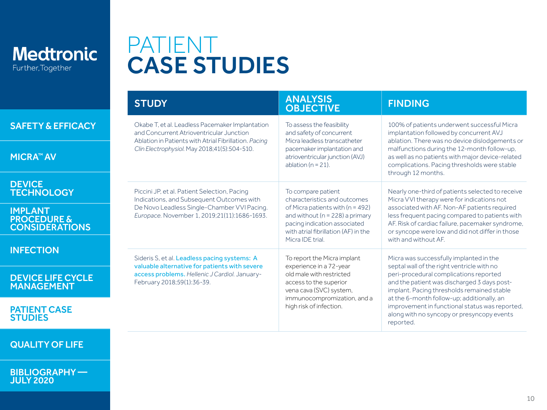

## PATIENT CASE STUDIES

|                                                                   | <b>STUDY</b>                                                                                                                                                                                         | <b>ANALYSIS</b><br><b>OBJECTIVE</b>                                                                                                                                              | <b>FINDING</b>                                                                                                                                                                                                                                                                                                    |
|-------------------------------------------------------------------|------------------------------------------------------------------------------------------------------------------------------------------------------------------------------------------------------|----------------------------------------------------------------------------------------------------------------------------------------------------------------------------------|-------------------------------------------------------------------------------------------------------------------------------------------------------------------------------------------------------------------------------------------------------------------------------------------------------------------|
| <b>SAFETY &amp; EFFICACY</b>                                      | Okabe T, et al. Leadless Pacemaker Implantation<br>and Concurrent Atrioventricular Junction<br>Ablation in Patients with Atrial Fibrillation. Pacing<br>Clin Electrophysiol. May 2018;41(5):504-510. | To assess the feasibility<br>and safety of concurrent<br>Micra leadless transcatheter<br>pacemaker implantation and<br>atrioventricular junction (AVJ)<br>ablation ( $n = 21$ ). | 100% of patients underwent successful Micra<br>implantation followed by concurrent AVJ<br>ablation. There was no device dislodgements or<br>malfunctions during the 12-month follow-up,<br>as well as no patients with major device-related<br>complications. Pacing thresholds were stable<br>through 12 months. |
| <b>MICRA™ AV</b>                                                  |                                                                                                                                                                                                      |                                                                                                                                                                                  |                                                                                                                                                                                                                                                                                                                   |
| <b>DEVICE</b><br><b>TECHNOLOGY</b>                                | Piccini JP, et al. Patient Selection, Pacing<br>Indications, and Subsequent Outcomes with                                                                                                            | To compare patient<br>characteristics and outcomes                                                                                                                               | Nearly one-third of patients selected to receive<br>Micra VVI therapy were for indications not                                                                                                                                                                                                                    |
| <b>IMPLANT</b><br><b>PROCEDURE &amp;</b><br><b>CONSIDERATIONS</b> | De Novo Leadless Single-Chamber VVI Pacing.<br>Europace. November 1, 2019;21(11):1686-1693.                                                                                                          | of Micra patients with (n = 492)<br>and without ( $n = 228$ ) a primary<br>pacing indication associated<br>with atrial fibrillation (AF) in the                                  | associated with AF. Non-AF patients required<br>less frequent pacing compared to patients with<br>AF. Risk of cardiac failure, pacemaker syndrome,<br>or syncope were low and did not differ in those                                                                                                             |
| <b>INFECTION</b>                                                  |                                                                                                                                                                                                      | Micra IDE trial.                                                                                                                                                                 | with and without AF.                                                                                                                                                                                                                                                                                              |
|                                                                   | Sideris S, et al. Leadless pacing systems: A<br>valuable alternative for patients with severe                                                                                                        | To report the Micra implant<br>experience in a 72-year                                                                                                                           | Micra was successfully implanted in the<br>septal wall of the right ventricle with no                                                                                                                                                                                                                             |
| <b>DEVICE LIFE CYCLE</b><br><b>MANAGEMENT</b>                     | access problems. Hellenic J Cardiol. January-<br>February 2018;59(1):36-39.                                                                                                                          | old male with restricted<br>access to the superior<br>vena cava (SVC) system,<br>immunocompromization, and a<br>high risk of infection.                                          | peri-procedural complications reported<br>and the patient was discharged 3 days post-<br>implant. Pacing thresholds remained stable<br>at the 6-month follow-up; additionally, an<br>improvement in functional status was reported,<br>along with no syncopy or presyncopy events<br>reported.                    |
| <b>PATIENT CASE</b><br><b>STUDIES</b>                             |                                                                                                                                                                                                      |                                                                                                                                                                                  |                                                                                                                                                                                                                                                                                                                   |

### [QUALITY OF LIFE](#page-10-0)

[BIBLIOGRAPHY —](#page-11-0)  JULY 2020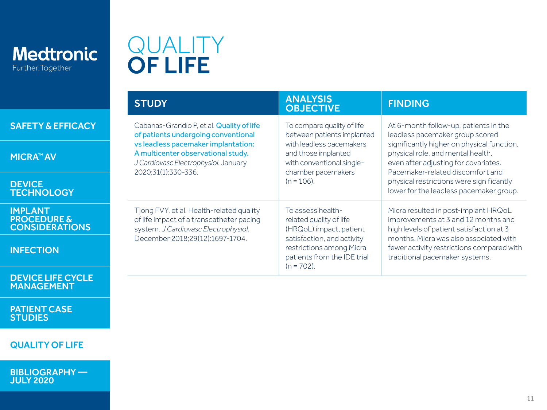<span id="page-10-0"></span>

**DEVICE** 

IMPLANT

## QUALITY OF LIFE

|                                                                   | <b>STUDY</b>                                                                                                                                                    | <b>ANALYSIS</b><br><b>OBJECTIVE</b>                                                                                                                                               | <b>FINDING</b>                                                                                                                                                                                                                                                                                                                 |
|-------------------------------------------------------------------|-----------------------------------------------------------------------------------------------------------------------------------------------------------------|-----------------------------------------------------------------------------------------------------------------------------------------------------------------------------------|--------------------------------------------------------------------------------------------------------------------------------------------------------------------------------------------------------------------------------------------------------------------------------------------------------------------------------|
| <b>SAFETY &amp; EFFICACY</b>                                      | Cabanas-Grandío P, et al. Quality of life<br>of patients undergoing conventional                                                                                | To compare quality of life<br>between patients implanted                                                                                                                          | At 6-month follow-up, patients in the<br>leadless pacemaker group scored<br>significantly higher on physical function,<br>physical role, and mental health,<br>even after adjusting for covariates.<br>Pacemaker-related discomfort and<br>physical restrictions were significantly<br>lower for the leadless pacemaker group. |
| <b>MICRA™ AV</b>                                                  | vs leadless pacemaker implantation:<br>A multicenter observational study.<br>J Cardiovasc Electrophysiol. January<br>2020;31(1):330-336.                        | with leadless pacemakers<br>and those implanted<br>with conventional single-<br>chamber pacemakers<br>$(n = 106)$ .                                                               |                                                                                                                                                                                                                                                                                                                                |
| <b>DEVICE</b><br><b>TECHNOLOGY</b>                                |                                                                                                                                                                 |                                                                                                                                                                                   |                                                                                                                                                                                                                                                                                                                                |
| <b>IMPLANT</b><br><b>PROCEDURE &amp;</b><br><b>CONSIDERATIONS</b> | Tjong FVY, et al. Health-related quality<br>of life impact of a transcatheter pacing<br>system. J Cardiovasc Electrophysiol.<br>December 2018;29(12):1697-1704. | To assess health-<br>related quality of life<br>(HRQoL) impact, patient<br>satisfaction, and activity<br>restrictions among Micra<br>patients from the IDE trial<br>$(n = 702)$ . | Micra resulted in post-implant HRQoL<br>improvements at 3 and 12 months and<br>high levels of patient satisfaction at 3<br>months. Micra was also associated with<br>fewer activity restrictions compared with<br>traditional pacemaker systems.                                                                               |
| <b>INFECTION</b>                                                  |                                                                                                                                                                 |                                                                                                                                                                                   |                                                                                                                                                                                                                                                                                                                                |
| <b>DEVICE LIFE CYCLE</b>                                          |                                                                                                                                                                 |                                                                                                                                                                                   |                                                                                                                                                                                                                                                                                                                                |

[PATIENT CASE](#page-7-0) 

STUDIES

MANAGEMENT

### QUALITY OF LIFE

[BIBLIOGRAPHY —](#page-11-0)  JULY 2020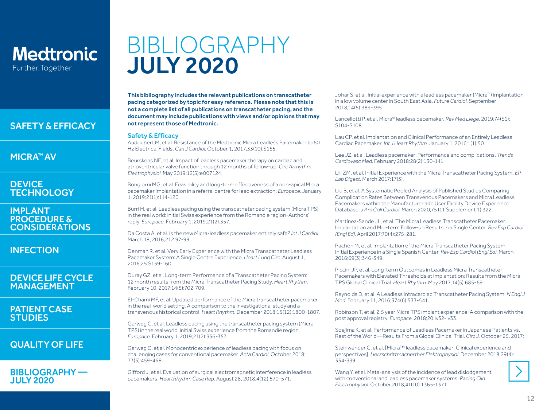#### <span id="page-11-0"></span>[SAFETY & EFFICACY](#page-1-0)

#### [MICRA™ AV](#page-2-0)

#### **DEVICE [TECHNOLOGY](#page-3-0)**

#### IMPLANT PROCEDURE & [CONSIDERATIONS](#page-4-0)

#### [INFECTION](#page-5-0)

#### [DEVICE LIFE CYCLE](#page-6-0)  MANAGEMENT

#### [PATIENT CASE](#page-7-0)  STUDIES

### [QUALITY OF LIFE](#page-10-0)

#### BIBLIOGRAPHY — JULY 2020

## BIBLIOGRAPHY JULY 2020

This bibliography includes the relevant publications on transcatheter pacing categorized by topic for easy reference. Please note that this is not a complete list of all publications on transcatheter pacing, and the document may include publications with views and/or opinions that may not represent those of Medtronic.

#### Safety & Efficacy

Audoubert M, et al. Resistance of the Medtronic Micra Leadless Pacemaker to 60 Hz Electrical Fields. *Can J Cardiol*. October 1, 2017;33(10):S155.

Beurskens NE, et al. Impact of leadless pacemaker therapy on cardiac and atrioventricular valve function through 12 months of follow-up. *Circ Arrhythm Electrophysiol.* May 2019;12(5):e007124.

Bongiorni MG, et al. Feasibility and long-term effectiveness of a non-apical Micra pacemaker implantation in a referral centre for lead extraction. *Europace.* January 1, 2019;21(1):114-120.

Burri H, et al. Leadless pacing using the transcatheter pacing system (Micra TPS) in the real world: initial Swiss experience from the Romandie region-Authors' reply. *Europace.* February 1, 2019;21(2):357.

Da Costa A, et al. Is the new Micra-leadless pacemaker entirely safe? *Int J Cardiol.* March 18, 2016;212:97-99.

Denman R, et al. Very Early Experience with the Micra Transcatheter Leadless Pacemaker System: A Single Centre Experience. *Heart Lung Circ.* August 1, 2016;25:S159-160.

Duray GZ, et al. Long-term Performance of a Transcatheter Pacing System: 12 month results from the Micra Transcatheter Pacing Study. *Heart Rhythm.* February 10, 2017;14(5):702-709.

El-Chami MF, et al. Updated performance of the Micra transcatheter pacemaker in the real-world setting: A comparison to the investigational study and a transvenous historical control. *Heart Rhythm.* December 2018;15(12):1800-1807.

Garweg C, et al. Leadless pacing using the transcatheter pacing system (Micra TPS) in the real world: initial Swiss experience from the Romandie region. *Europace.* February 1, 2019;21(2):356-357.

Garweg C, et al. Monocentric experience of leadless pacing with focus on challenging cases for conventional pacemaker. *Acta Cardiol.* October 2018; 73(5):459-468.

Gifford J, et al. Evaluation of surgical electromagnetic interference in leadless pacemakers. *HeartRhythm Case Rep.* August 28, 2018;4(12):570-571.

Johar S, et al. Initial experience with a leadless pacemaker (Micra™) implantation in a low volume center in South East Asia. *Future Cardiol.* September 2018;14(5):389-395.

Lancellotti P, et al. Micra® leadless pacemaker. *Rev Med Liege.* 2019;74(S1): S104-S108.

Lau CP, et al. Implantation and Clinical Performance of an Entirely Leadless Cardiac Pacemaker. *Int J Heart Rhythm.* January 1, 2016;1(1):50.

Lee JZ, et al. Leadless pacemaker: Performance and complications. *Trends Cardiovasc Med.* February 2018;28(2):130-141.

Lill ZM, et al. Initial Experience with the Micra Transcatheter Pacing System. *EP Lab Digest.* March 2017;17(3).

Liu B, et al. A Systematic Pooled Analysis of Published Studies Comparing Complication Rates Between Transvenous Pacemakers and Micra Leadless Pacemakers within the Manufacturer adn User Facility Device Experience Database. *J Am Coll Cardiol.* March 2020;75 (11 Supplement 1):322.

Martínez-Sande JL, et al. The Micra Leadless Transcatheter Pacemaker. Implantation and Mid-term Follow-up Results in a Single Center. *Rev Esp Cardiol (Engl Ed).* April 2017;70(4):275-281.

Pachón M, et al. Implantation of the Micra Transcatheter Pacing System: Initial Experience in a Single Spanish Center. *Rev Esp Cardiol (Engl Ed).* March 2016;69(3):346-349.

Piccini JP, et al. Long-term Outcomes in Leadless Micra Transcatheter Pacemakers with Elevated Thresholds at Implantation: Results from the Micra TPS Global Clinical Trial. *Heart Rhythm.* May 2017;14(5):685-691.

Reynolds D, et al. A Leadless Intracardiac Transcatheter Pacing System. *N Engl J Med.* February 11, 2016;374(6):533-541.

Robinson T, et al. 2.5 year Micra TPS implant experience; A comparison with the post approval registry. *Europace.* 2018;20:iv32-iv33.

Soejima K, et al. Performance of Leadless Pacemaker in Japanese Patients vs. Rest of the World―Results From a Global Clinical Trial. *Circ J.* October 25, 2017;

Steinwender C, et al. [Micra™ leadless pacemaker: Clinical experience and perspectives]. *Herzschrittmacherther Elektrophysiol.* December 2018;29(4):  $334 - 339$ 

Wang Y, et al. Meta-analysis of the incidence of lead dislodgement with conventional and leadless pacemaker systems. *Pacing Clin Electrophysiol.* October 2018;41(10):1365-1371.

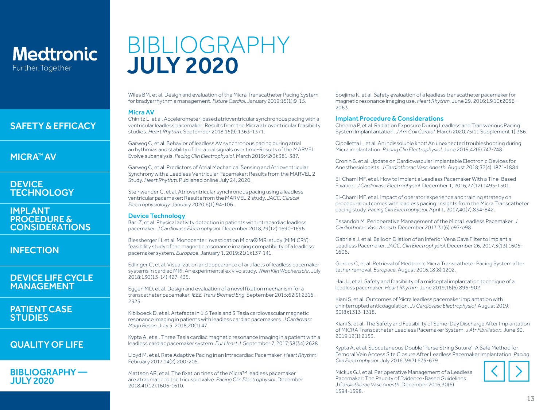## BIBLIOGRAPHY JULY 2020

Wiles BM, et al. Design and evaluation of the Micra Transcatheter Pacing System for bradyarrhythmia management. *Future Cardiol.* January 2019;15(1):9-15.

#### Micra AV

Chinitz L, et al. Accelerometer-based atrioventricular synchronous pacing with a ventricular leadless pacemaker: Results from the Micra atrioventricular feasibility studies. *Heart Rhythm.* September 2018;15(9):1363-1371.

Garweg C, et al. Behavior of leadless AV synchronous pacing during atrial arrhythmias and stability of the atrial signals over time-Results of the MARVEL Evolve subanalysis. *Pacing Clin Electrophysiol.* March 2019;42(3):381-387.

Garweg C, et al. Predictors of Atrial Mechanical Sensing and Atrioventricular Synchrony with a Leadless Ventricular Pacemaker: Results from the MARVEL 2 Study. *Heart Rhythm*. Published online July 24, 2020.

Steinwender C, et al. Atrioventricular synchronous pacing using a leadless ventricular pacemaker: Results from the MARVEL 2 study. *JACC: Clinical Electrophysiology.* January 2020;6(1):94-106.

#### Device Technology

Bari Z, et al. Physical activity detection in patients with intracardiac leadless pacemaker. *J Cardiovasc Electrophysiol.* December 2018;29(12):1690-1696.

Blessberger H, et al. Monocenter Investigation Micra® MRI study (MIMICRY): feasibility study of the magnetic resonance imaging compatibility of a leadless pacemaker system. *Europace.* January 1, 2019;21(1):137-141.

Edlinger C, et al. Visualization and appearance of artifacts of leadless pacemaker systems in cardiac MRI: An experimental ex vivo study. *Wien Klin Wochenschr.* July 2018;130(13-14):427-435.

Eggen MD, et al. Design and evaluation of a novel fixation mechanism for a transcatheter pacemaker. *IEEE Trans Biomed Eng.* September 2015;62(9):2316- 2323.

Kiblboeck D, et al. Artefacts in 1.5 Tesla and 3 Tesla cardiovascular magnetic resonance imaging in patients with leadless cardiac pacemakers. *J Cardiovasc Magn Reson.* July 5, 2018;20(1):47*.*

Kypta A, et al. Three Tesla cardiac magnetic resonance imaging in a patient with a leadless cardiac pacemaker system. *Eur Heart J.* September 7, 2017;38(34):2628.

Lloyd M, et al. Rate Adaptive Pacing in an Intracardiac Pacemaker. *Heart Rhythm.* February 2017;14(2):200-205.

Mattson AR, et al. The fixation tines of the Micra™ leadless pacemaker are atraumatic to the tricuspid valve. *Pacing Clin Electrophysiol.* December 2018;41(12):1606-1610.

Soejima K, et al. Safety evaluation of a leadless transcatheter pacemaker for magnetic resonance imaging use. *Heart Rhythm.* June 29, 2016;13(10):2056- 2063.

#### Implant Procedure & Considerations

Cheema P, et al. Radiation Exposure During Leadless and Transvenous Pacing System Implantantation. *J Am Coll Cardiol.* March 2020;75(11 Supplement 1):386.

Cipolletta L, et al. An indissoluble knot: An unexpected troubleshooting during Micra implantation. *Pacing Clin Electrophysiol.* June 2019;42(6):747-748.

Cronin B, et al. Update on Cardiovascular Implantable Electronic Devices for Anesthesiologists. *J Cardiothorac Vasc Anesth.* August 2018;32(4):1871-1884.

El-Chami MF, et al. How to Implant a Leadless Pacemaker With a Tine-Based Fixation. *J Cardiovasc Electrophysiol.* December 1, 2016;27(12):1495-1501.

El-Chami MF, et al. Impact of operator experience and training strategy on procedural outcomes with leadless pacing: Insights from the Micra Transcatheter pacing study. *Pacing Clin Electrophysiol.* April 1, 2017;40(7):834-842.

Essandoh M. Perioperative Management of the Micra Leadless Pacemaker. *J Cardiothorac Vasc Anesth.* December 2017;31(6):e97-e98.

Gabriels J, et al. Balloon Dilation of an Inferior Vena Cava Filter to Implant a Leadless Pacemaker. *JACC: Clin Electrophysiol.* December 26, 2017;3(13):1605- 1606.

Gerdes C, et al. Retrieval of Medtronic Micra Transcatheter Pacing System after tether removal. *Europace.* August 2016;18(8):1202.

Hai JJ, et al. Safety and feasibility of a midseptal implantation technique of a leadless pacemaker. *Heart Rhythm.* June 2019;16(6):896-902.

Kiani S, et al. Outcomes of Micra leadless pacemaker implantation with uninterrupted anticoagulation. *JJ Cardiovasc Electrophysiol.* August 2019; 30(8):1313-1318.

Kiani S, et al. The Safety and Feasibility of Same-Day Discharge After Implantation of MICRA Transcatheter Leadless Pacemaker System. *J Atr Fibrillation.* June 30, 2019;12(1):2153.

Kypta A, et al. Subcutaneous Double 'Purse String Suture'–A Safe Method for Femoral Vein Access Site Closure After Leadless Pacemaker Implantation. *Pacing Clin Electrophysiol.* July 2016;39(7):675-679.

Mickus GJ, et al. Perioperative Management of a Leadless Pacemaker: The Paucity of Evidence-Based Guidelines. J *Cardiothorac Vasc Anesth.* December 2016;30(6): 1594-1598.



[BIBLIOGRAPHY —](#page-11-0)  JULY 2020

[QUALITY OF LIFE](#page-10-0)

[SAFETY & EFFICACY](#page-1-0)

### [MICRA™ AV](#page-2-0)

#### **DEVICE [TECHNOLOGY](#page-3-0)**

IMPLANT PROCEDURE & [CONSIDERATIONS](#page-4-0)

**[INFECTION](#page-5-0)** 

#### [DEVICE LIFE CYCLE](#page-6-0)  MANAGEMENT

[PATIENT CASE](#page-7-0)  **STUDIES**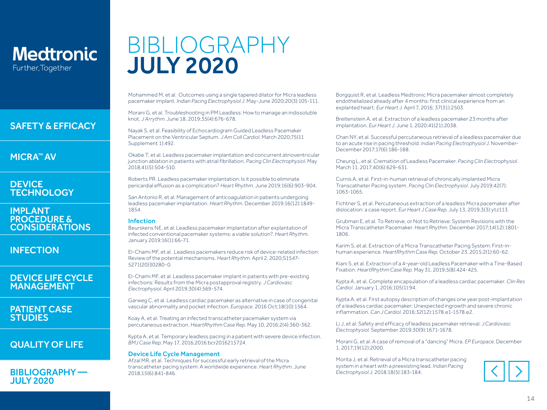[SAFETY & EFFICACY](#page-1-0)

### [MICRA™ AV](#page-2-0)

#### **DEVICE [TECHNOLOGY](#page-3-0)**

#### IMPLANT PROCEDURE & [CONSIDERATIONS](#page-4-0)

[INFECTION](#page-5-0)

#### [DEVICE LIFE CYCLE](#page-6-0)  MANAGEMENT

#### [PATIENT CASE](#page-7-0)  **STUDIES**

### [QUALITY OF LIFE](#page-10-0)

#### [BIBLIOGRAPHY —](#page-11-0)  JULY 2020

## BIBLIOGRAPHY JULY 2020

Mohammed M, et al. Outcomes using a single tapered dilator for Micra leadless pacemaker implant. *Indian Pacing Electrophysiol J.* May-June 2020;20(3):105-111.

Morani G, et al. Troubleshooting in PM Leadless: How to manage an indissoluble knot. *J Arrythm.* June 18, 2019;35(4):676-678.

Nayak S, et al. Feasibility of Echocardiogram Guided Leadless Pacemaker Placement on the Ventricular Septum. *J Am Coll Cardiol.* March 2020;75(11 Supplement 1):492.

Okabe T, et al. Leadless pacemaker implantation and concurrent atrioventricular junction ablation in patients with atrial fibrillation. *Pacing Clin Electrophysiol.* May 2018;41(5):504-510.

Roberts PR. Leadless pacemaker implantation: Is it possible to eliminate pericardial effusion as a complication? *Heart Rhythm.* June 2019;16(6):903-904.

San Antonio R, et al. Management of anticoagulation in patients undergoing leadless pacemaker implantation. *Heart Rhythm.* December 2019;16(12):1849- 1854.

#### Infection

Beurskens NE, et al. Leadless pacemaker implantation after explantation of infected conventional pacemaker systems: a viable solution?. *Heart Rhythm.* January 2019;16(1):66-71.

El-Chami MF, et al. Leadless pacemakers reduce risk of device-related infection: Review of the potential mechanisms. *Heart Rhythm.* April 2, 2020;S1547- 5271(20)30280-0.

El-Chami MF, et al. Leadless pacemaker implant in patients with pre-existing infections: Results from the Micra postapproval registry. *J Cardiovasc Electrophysiol.* April 2019;30(4):569-574.

Garweg C, et al. Leadless cardiac pacemaker as alternative in case of congenital vascular abnormality and pocket infection. *Europace.* 2016 Oct;18(10):1564.

Koay A, et al. Treating an infected transcatheter pacemaker system via percutaneous extraction. *HeartRhythm Case Rep.* May 10, 2016;2(4):360-362.

Kypta A, et al. Temporary leadless pacing in a patient with severe device infection. *BMJ Case Rep.* May 17, 2016;2016:bcr2016215724.

#### Device Life Cycle Management

Afzal MR, et al. Techniques for successful early retrieval of the Micra transcatheter pacing system: A worldwide experience. *Heart Rhythm.* June 2018;15(6):841-846.

Borgquist R, et al. Leadless Medtronic Micra pacemaker almost completely endothelialized already after 4 months: first clinical experience from an explanted heart. *Eur Heart J.* April 7, 2016; 37(31):2503.

Breitenstein A, et al. Extraction of a leadless pacemaker 23 months after implantation. *Eur Heart J.* June 1, 2020;41(21):2038.

Chan NY, et al. Successful percutaneous retrieval of a leadless pacemaker due to an acute rise in pacing threshold. *Indian Pacing Electrophysiol J.* November-December 2017;17(6):186-188.

Cheung L, et al. Cremation of Leadless Pacemaker. *Pacing Clin Electrophysiol.*  March 11, 2017;40(6):629-631.

Curnis A, et al. First-in-human retrieval of chronically implanted Micra Transcatheter Pacing system. *Pacing Clin Electrophysiol.* July 2019;42(7): 1063-1065.

Fichtner S, et al. Percutaneous extraction of a leadless Micra pacemaker after dislocation: a case report. *Eur Heart J Case Rep.* July 13, 2019;3(3):ytz113.

Grubman E, et al. To Retrieve, or Not to Retrieve: System Revisions with the Micra Transcatheter Pacemaker. *Heart Rhythm.* December 2017;14(12):1801- 1806.

Karim S, et al. Extraction of a Micra Transcatheter Pacing System: First-inhuman experience. *HeartRhythm Case Rep.* October 23, 2015;2(1):60-62.

Kiani S, et al. Extraction of a 4-year-old Leadless Pacemaker with a Tine-Based Fixation. *HeartRhythm Case Rep.* May 31, 2019;5(8):424-425.

Kypta A, et al. Complete encapsulation of a leadless cardiac pacemaker. *Clin Res Cardiol.* January 1, 2016;105(1):94.

Kypta A, et al. First autopsy description of changes one year post-implantation of a leadless cardiac pacemaker: Unexpected ingrowth and severe chronic inflammation. *Can J Cardiol.* 2016;32(12):1578.e1-1578.e2.

Li J, et al. Safety and efficacy of leadless pacemaker retrieval. *J Cardiovasc Electrophysiol.* September 2019;30(9):1671-1678.

Morani G, et al. A case of removal of a "dancing" Micra. *EP Europace*. December 1, 2017;19(12):2000.

Morita J, et al. Retrieval of a Micra transcatheter pacing system in a heart with a preexisting lead. *Indian Pacing Electrophysiol J.* 2018;18(5):183-184.

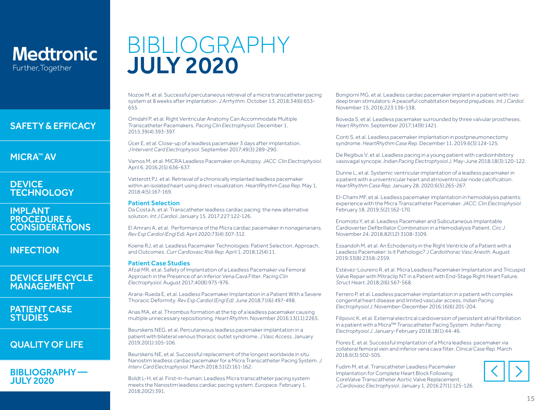#### [SAFETY & EFFICACY](#page-1-0)

[MICRA™ AV](#page-2-0)

#### **DEVICE [TECHNOLOGY](#page-3-0)**

IMPLANT PROCEDURE & [CONSIDERATIONS](#page-4-0)

**[INFECTION](#page-5-0)** 

#### [DEVICE LIFE CYCLE](#page-6-0)  MANAGEMENT

#### [PATIENT CASE](#page-7-0)  **STUDIES**

### [QUALITY OF LIFE](#page-10-0)

#### [BIBLIOGRAPHY —](#page-11-0)  JULY 2020

## BIBLIOGRAPHY JULY 2020

Nozoe M, et al. Successful percutaneous retrieval of a micra transcatheter pacing system at 8 weeks after implantation. *J Arrhythm.* October 13, 2018;34(6):653- 655.

Omdahl P, et al. Right Ventricular Anatomy Can Accommodate Multiple Transcatheter Pacemakers. *Pacing Clin Electrophysiol.* December 1, 2015;39(4):393-397.

Ücer E, et al. Close-up of a leadless pacemaker 3 days after implantation. *J Intervent Card Electrophysiol.* September 2017;49(3):289-290.

Vamos M, et al. MICRA Leadless Pacemaker on Autopsy. *JACC: Clin Electrophysiol.* April 6, 2016;2(5):636-637.

Vatterott PJ, et al. Retrieval of a chronically implanted leadless pacemaker within an isolated heart using direct visualization. *HeartRhythm Case Rep.* May 1, 2018;4(5):167-169.

#### Patient Selection

Da Costa A, et al. Transcatheter leadless cardiac pacing: the new alternative solution. *Int J Cardiol.* January 15, 2017;227:122-126.

El Amrani A, et al. Performance of the Micra cardiac pacemaker in nonagenarians. *Rev Esp Cardiol (Engl Ed).* April 2020;73(4):307-312.

Koene RJ, et al. Leadless Pacemaker Technologies: Patient Selection, Approach, and Outcomes. *Curr Cardiovasc Risk Rep.* April 1, 2018;12(4):11.

#### Patient Case Studies

Afzal MR, et al. Safety of Implantation of a Leadless Pacemaker via Femoral Approach in the Presence of an Inferior Vena Cava Filter. *Pacing Clin Electrophysiol.* August 2017;40(8):975-976.

Arana-Rueda E, et al. Leadless Pacemaker Implantation in a Patient With a Severe Thoracic Deformity. *Rev Esp Cardiol (Engl Ed).* June 2018;71(6):497-498.

Arias MA, et al. Thrombus formation at the tip of a leadless pacemaker causing multiple unnecessary repositioning. *Heart Rhythm.* November 2016;13(11):2265.

Beurskens NEG, et al. Percutaneous leadless pacemaker implantation in a patient with bilateral venous thoracic outlet syndrome. *J Vasc Access.* January 2019;20(1):105-106.

Beurskens NE, et al. Successful replacement of the longest worldwide in situ Nanostim leadless cardiac pacemaker for a Micra Transcatheter Pacing System. *J Interv Card Electrophysiol.* March 2018;51(2):161-162.

Boldt L-H, et al. First-in-human: Leadless Micra transcatheter pacing system meets the Nanostim leadless cardiac pacing system. *Europace.* February 1, 2018;20(2):391.

Bongiorni MG, et al. Leadless cardiac pacemaker implant in a patient with two deep brain stimulators: A peaceful cohabitation beyond prejudices. *Int J Cardiol.*  November 15, 2016;223:136-138.

Boveda S, et al. Leadless pacemaker surrounded by three valvular prostheses. *Heart Rhythm.* September 2017;14(9):1421.

Conti S, et al. Leadless pacemaker implantation in postpneumonectomy syndrome. *HeartRhythm Case Rep.* December 11, 2019;6(3):124-125.

De Regibus V, et al. Leadless pacing in a young patient with cardioinhibitory vasovagal syncope. *Indian Pacing Electrophysiol J.* May-June 2018;18(3):120-122.

Dunne L, et al. Systemic ventricular implantation of a leadless pacemaker in a patient with a univentricular heart and atrioventricular node calcification. *HeartRhythm Case Rep.* January 28, 2020;6(5):265-267.

El-Chami MF, et al. Leadless pacemaker implantation in hemodialysis patients: experience with the Micra Transcatheter Pacemaker. *JACC: Clin Electrophysiol.*  February 18, 2019;5(2):162-170.

Enomoto Y, et al. Leadless Pacemaker and Subcutaneous Implantable Cardioverter Defibrillator Combination in a Hemodialysis Patient. *Circ J.*  November 24, 2018*;*82(12):3108-3109.

Essandoh M, et al. An Echodensity in the Right Ventricle of a Patient with a Leadless Pacemaker: Is it Pathologic? *J Cardiothorac Vasc Anesth.* August 2019;33(8):2358-2359.

Estévez-Loureiro R, et al. Micra Leadless Pacemaker Implantation and Tricuspid Valve Repair with Mitraclip NT in a Patient with End-Stage Right Heart Failure. *Struct Heart.* 2018;2(6):567-568.

Ferrero P, et al. Leadless pacemaker implantation in a patient with complex congenital heart disease and limited vascular access. *Indian Pacing Electrophysiol J.* November-December 2016;16(6):201-204.

Filipovic K, et al. External electrical cardioversion of persistent atrial fibrillation in a patient with a Micra™ Transcatheter Pacing System. *Indian Pacing Electrophysiol J.* January-February 2018;18(1):44-46.

Flores E, et al. Successful implantation of a Micra leadless pacemaker via collateral femoral vein and inferior vena cava filter. *Clinical Case Rep.* March 2018;6(3):502-505.

Fudim M, et al. Transcatheter Leadless Pacemaker Implantation for Complete Heart Block Following CoreValve Transcatheter Aortic Valve Replacement. *J Cardiovasc Electrophysiol.* January 1, 2016;27(1):125-126.

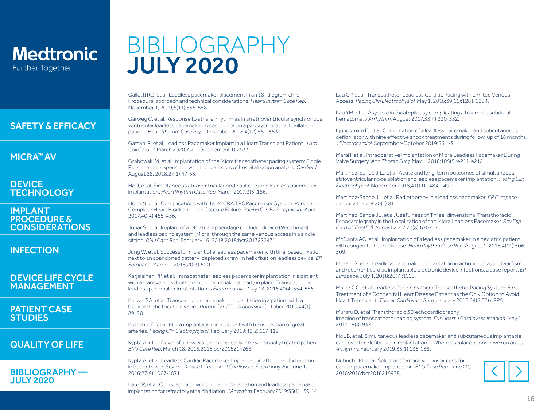#### [SAFETY & EFFICACY](#page-1-0)

[MICRA™ AV](#page-2-0)

#### **DEVICE [TECHNOLOGY](#page-3-0)**

IMPLANT PROCEDURE & [CONSIDERATIONS](#page-4-0)

[INFECTION](#page-5-0)

#### [DEVICE LIFE CYCLE](#page-6-0)  MANAGEMENT

[PATIENT CASE](#page-7-0)  STUDIES

### [QUALITY OF LIFE](#page-10-0)

#### [BIBLIOGRAPHY —](#page-11-0)  JULY 2020

## BIBLIOGRAPHY JULY 2020

Gallotti RG, et al. Leadless pacemaker placement in an 18-kilogram child: Procedural approach and technical considerations. *HeartRhythm Case Rep.*  November 1, 2019;5(11):555-558.

Garweg C, et al. Response to atrial arrhythmias in an atrioventricular synchronous ventricular leadless pacemaker: A case report in a paroxysmal atrial fibrillation patient. *HeartRhythm Case Rep.* December 2018;4(12):561-563.

Gattani R, et al. Leadless Pacemaker Implant in a Heart Transplant Patient. *J Am Coll Cardiol.* March 2020;75(11 Supplement 1):2633.

Grabowski M, et al. Implantation of the Micra transcatheter pacing system: Single Polish center experience with the real costs of hospitalization analysis. *Cardiol J.* August 28, 2018;27(1):47-53.

Ho J, et al. Simultaneous atrioventricular node ablation and leadless pacemaker implantation. *HeartRhythm Case Rep*. March 2017;3(3):186.

Holm N, et al. Complications with the MICRA TPS Pacemaker System: Persistent Complete Heart Block and Late Capture Failure. *Pacing Clin Electrophysiol.* April 2017;40(4):455-456.

Johar S, et al. Implant of a left atrial appendage occluder device (Watchman) and leadless pacing system (Micra) through the same venous access in a single sitting. *BMJ Case Rep.* February 16, 2018;2018:bcr2017222471.

Jung W, et al. Successful implant of a leadless pacemaker with tine-based fixation next to an abandoned battery-depleted screw-in helix fixation leadless device. *EP Europace.* March 1, 2018;20(3):500.

Karjalainen PP, et al. Transcatheter leadless pacemaker implantation in a patient with a transvenous dual-chamber pacemaker already in place: Transcatheter leadless pacemaker implantation. *J Electrocardiol.* May 13, 2016;49(4):554-556.

Kerwin SA, et al. Transcatheter pacemaker implantation in a patient with a bioprosthetic tricuspid valve. *J Interv Card Electrophysiol.* October 2015;44(1): 89-90.

Kotschet E, et al. Micra implantation in a patient with transposition of great arteries. *Pacing Clin Electrophysiol.* February 2019;42(2):117-119.

Kypta A, et al. Dawn of a new era: the completely interventionally treated patient. *BMJ Case Rep.* March 18, 2016;2016:bcr2015214268.

Kypta A, et al. Leadless Cardiac Pacemaker Implantation after Lead Extraction in Patients with Severe Device Infection. *J Cardiovasc Electrophysiol.* June 1, 2016;27(9):1067-1071.

Lau CP, et al. One stage atrioventricular nodal ablation and leadless pacemaker implantation for refractory atrial fibrillation. *J Arrhythm.* February 2019;35(1):139-141. Lau CP, et al. Transcatheter Leadless Cardiac Pacing with Limited Venous Access. *Pacing Clin Electrophysiol.* May 1, 2016;39(11):1281-1284.

Lau YM, et al. Asystole in focal epilepsy complicating a traumatic subdural hematoma. *J Arrhythm.* August 2017;33(4):330-332.

Ljungström E, et al. Combination of a leadless pacemaker and subcutaneous defibrillator with nine effective shock treatments during follow-up of 18 months. *J Electrocardiol.* September-October 2019;56:1-3.

Marai I, et al. Intraoperative Implantation of Micra Leadless Pacemaker During Valve Surgery. *Ann Thorac Surg.* May 1, 2018;105(5):e211-e212.

Martínez-Sande J.L., et al. Acute and long-term outcomes of simultaneous atrioventricular node ablation and leadless pacemaker implantation. *Pacing Clin Electrophysiol.* November 2018;41(11):1484-1490.

Martínez-Sande JL, et al. Radiotherapy in a leadless pacemaker. *EP Europace.* January 1, 2018;20(1):81.

Martínez-Sande JL, et al. Usefulness of Three-dimensional Transthoracic Echocardiograhy in the Localization of the Micra Leadless Pacemaker. *Rev Esp Cardiol (Engl Ed).* August 2017;70(8):670-671.

McCanta AC, et al. Implantation of a leadless pacemaker in a pediatric patient with congenital heart disease. *HeartRhythm Case Rep.* August 1, 2018;4(11):506- 509.

Morani G, et al. Leadless pacemaker implantation in achondroplastic dwarfism and recurrent cardiac implantable electronic device infections: a case report. *EP Europace.* July 1, 2018;20(7):1160.

Müller GC, et al. Leadless Pacing by Micra Transcatheter Pacing System: First Treatment of a Congenital Heart Disease Patient as the Only Option to Avoid Heart Transplant. *Thorac Cardiovasc Surg.* January 2016;64(S 02):ePP5.

Muraru D, et al. Transthoracic 3D echocardiography imaging of transcatheter pacing system. *Eur Heart J Cardiovasc Imaging.* May 1, 2017;18(8):937.

Ng JB, et al. Simultaneous leadless pacemaker and subcutaneous implantable cardioverter-defibrillator implantation—When vascular options have run out. *J Arrhythm.* February 2019;35(1):136-138.

Nührich JM, et al. Sole transfemoral venous access for cardiac pacemaker implantation. *BMJ Case Rep.* June 22, 2016;2016:bcr2016215938.

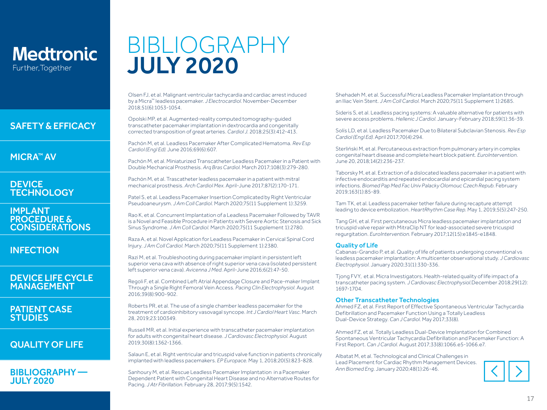#### [SAFETY & EFFICACY](#page-1-0)

[MICRA™ AV](#page-2-0)

#### **DEVICE [TECHNOLOGY](#page-3-0)**

IMPLANT PROCEDURE & [CONSIDERATIONS](#page-4-0)

**[INFECTION](#page-5-0)** 

#### [DEVICE LIFE CYCLE](#page-6-0)  MANAGEMENT

#### [PATIENT CASE](#page-7-0)  **STUDIES**

### [QUALITY OF LIFE](#page-10-0)

#### [BIBLIOGRAPHY —](#page-11-0)  JULY 2020

## BIBLIOGRAPHY JULY 2020

Olsen FJ, et al. Malignant ventricular tachycardia and cardiac arrest induced by a Micra™ leadless pacemaker. *J Electrocardiol.* November-December 2018;51(6):1053-1054.

Opolski MP, et al. Augmented-reality computed tomography-guided transcatheter pacemaker implantation in dextrocardia and congenitally corrected transposition of great arteries. *Cardiol J.* 2018;25(3):412-413.

Pachón M, et al. Leadless Pacemaker After Complicated Hematoma. *Rev Esp Cardiol (Engl Ed).* June 2016;69(6):607.

Pachón M, et al. Miniaturized Transcatheter Leadless Pacemaker in a Patient with Double Mechanical Prosthesis. *Arq Bras Cardiol.* March 2017;108(3):279-280.

Pachón M, et al. Trascatheter leadless pacemaker in a patient with mitral mechanical prosthesis. *Arch Cardiol Mex.* April-June 2017;87(2):170-171.

Patel S, et al. Leadless Pacemaker Insertion Complicated by Right Ventricular Pseudoaneurysm. *J Am Coll Cardiol.* March 2020;75(11 Supplement 1):3259.

Rao K, et al. Concurrent Implantation of a Leadless Pacemaker Followed by TAVR is a Novel and Feasible Procedure in Patients with Severe Aortic Stenosis and Sick Sinus Syndrome. *J Am Coll Cardiol.* March 2020;75(11 Supplement 1):2780.

Raza A, et al. Novel Application for Leadless Pacemaker in Cervical Spinal Cord Injury. *J Am Coll Cardiol.* March 2020;75(11 Supplement 1):2380.

Razi M, et al. Troubleshooting during pacemaker implant in persistent left superior vena cava with absence of right superior vena cava (isolated persistent left superior vena cava). *Avicenna J Med.* April-June 2016;6(2):47-50.

Regoli F, et al. Combined Left Atrial Appendage Closure and Pace-maker Implant Through a Single Right Femoral Vein Access. *Pacing Clin Electrophysiol.* August 2016;39(8):900-902.

Roberts PR, et al. The use of a single chamber leadless pacemaker for the treatment of cardioinhibitory vasovagal syncope. *Int J Cardiol Heart Vasc.* March 28, 2019;23:100349.

Russell MR, et al. Initial experience with transcatheter pacemaker implantation for adults with congenital heart disease. *J Cardiovasc Electrophysiol.* August 2019;30(8):1362-1366.

Salaun E, et al. Right ventricular and tricuspid valve function in patients chronically implanted with leadless pacemakers. *EP Europace.* May 1, 2018;20(5):823-828.

Sanhoury M, et al. Rescue Leadless Pacemaker Implantation in a Pacemaker Dependent Patient with Congenital Heart Disease and no Alternative Routes for Pacing. *J Atr Fibrillation.* February 28, 2017;9(5):1542.

Shehadeh M, et al. Successful Micra Leadless Pacemaker Implantation through an Iliac Vein Stent. *J Am Coll Cardiol.* March 2020;75(11 Supplement 1):2685.

Sideris S, et al. Leadless pacing systems: A valuable alternative for patients with severe access problems. *Hellenic J Cardiol.* January-February 2018;59(1):36-39.

Solís LD, et al. Leadless Pacemaker Due to Bilateral Subclavian Stenosis. *Rev Esp Cardiol (Engl Ed).* April 2017;70(4):294.

Sterliński M, et al. Percutaneous extraction from pulmonary artery in complex congenital heart disease and complete heart block patient. *EuroIntervention.* June 20, 2018;14(2):236-237.

Taborsky M, et al. Extraction of a dislocated leadless pacemaker in a patient with infective endocarditis and repeated endocardial and epicardial pacing system infections. *Biomed Pap Med Fac Univ Palacky Olomouc Czech Repub.* February 2019;163(1):85-89.

Tam TK, et al. Leadless pacemaker tether failure during recapture attempt leading to device embolization. *HeartRhythm Case Rep.* May 1, 2019;5(5):247-250.

Tang GH, et al. First percutaneous Micra leadless pacemaker implantation and tricuspid valve repair with MitraClip NT for lead-associated severe tricuspid regurgitation. *EuroIntervention.* February 2017;12(15):e1845-e1848.

#### Quality of Life

Cabanas-Grandio P, et al. Quality of life of patients undergoing conventional vs leadless pacemaker implantation: A multicenter observational study. *J Cardiovasc Electrophysiol.* January 2020;31(1):330-336.

Tjong FVY, et al. Micra Investigators. Health-related quality of life impact of a transcatheter pacing system. *J Cardiovasc Electrophysiol.*December 2018;29(12): 1697-1704.

#### Other Transcatheter Technologies

Ahmed FZ, et al. First Report of Effective Spontaneous Ventricular Tachycardia Defibrillation and Pacemaker Function Using a Totally Leadless Dual-Device Strategy. *Can J Cardiol.* May 2017;33(8).

Ahmed FZ, et al. Totally Leadless Dual-Device Implantation for Combined Spontaneous Ventricular Tachycardia Defibrillation and Pacemaker Function: A First Report. *Can J Cardiol.* August 2017;33(8):1066.e5-1066.e7.

Albatat M, et al. Technological and Clinical Challenges in Lead Placement for Cardiac Rhythm Management Devices. *Ann Biomed Eng.* January 2020;48(1):26-46.

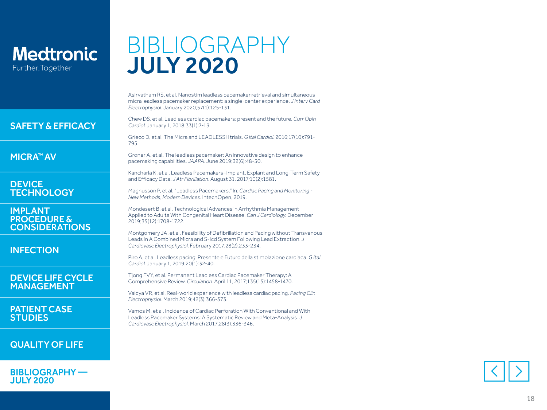#### [SAFETY & EFFICACY](#page-1-0)

[MICRA™ AV](#page-2-0)

**DEVICE [TECHNOLOGY](#page-3-0)** 

IMPLANT PROCEDURE & [CONSIDERATIONS](#page-4-0)

[INFECTION](#page-5-0)

#### [DEVICE LIFE CYCLE](#page-6-0)  MANAGEMENT

[PATIENT CASE](#page-7-0)  **STUDIES** 

### [QUALITY OF LIFE](#page-10-0)

[BIBLIOGRAPHY —](#page-11-0)  JULY 2020

## BIBLIOGRAPHY JULY 2020

Asirvatham RS, et al. Nanostim leadless pacemaker retrieval and simultaneous micra leadless pacemaker replacement: a single-center experience. *J Interv Card Electrophysiol.* January 2020;57(1):125-131.

Chew DS, et al. Leadless cardiac pacemakers: present and the future. *Curr Opin Cardiol.* January 1, 2018;33(1):7-13.

Grieco D, et al. The Micra and LEADLESS II trials. *G Ital Cardiol.* 2016;17(10):791- 795.

Groner A, et al. The leadless pacemaker: An innovative design to enhance pacemaking capabilities. *JAAPA.* June 2019;32(6):48-50.

Kancharla K, et al. Leadless Pacemakers–Implant, Explant and Long-Term Safety and Efficacy Data. *J Atr Fibrillation.* August 31, 2017 *;*10(2):1581.

Magnusson P, et al. "Leadless Pacemakers." In: *Cardiac Pacing and Monitoring - New Methods, Modern Devices.* IntechOpen, 2019.

Mondesert B, et al. Technological Advances in Arrhythmia Management Applied to Adults With Congenital Heart Disease. *Can J Cardiology.* December 2019;35(12):1708-1722.

Montgomery JA, et al. Feasibility of Defibrillation and Pacing without Transvenous Leads In A Combined Micra and S-Icd System Following Lead Extraction. *J Cardiovasc Electrophysiol.* February 2017;28(2):233-234.

Piro A, et al. Leadless pacing: Presente e Futuro della stimolazione cardiaca. *G Ital Cardiol.* January 1, 2019;20(1):32-40.

Tjong FVY, et al. Permanent Leadless Cardiac Pacemaker Therapy: A Comprehensive Review. *Circulation.* April 11, 2017;135(15):1458-1470.

Vaidya VR, et al. Real-world experience with leadless cardiac pacing. *Pacing Clin Electrophysiol.* March 2019;42(3):366-373.

Vamos M, et al. Incidence of Cardiac Perforation With Conventional and With Leadless Pacemaker Systems: A Systematic Review and Meta-Analysis. *J Cardiovasc Electrophysiol.* March 2017;28(3):336-346.